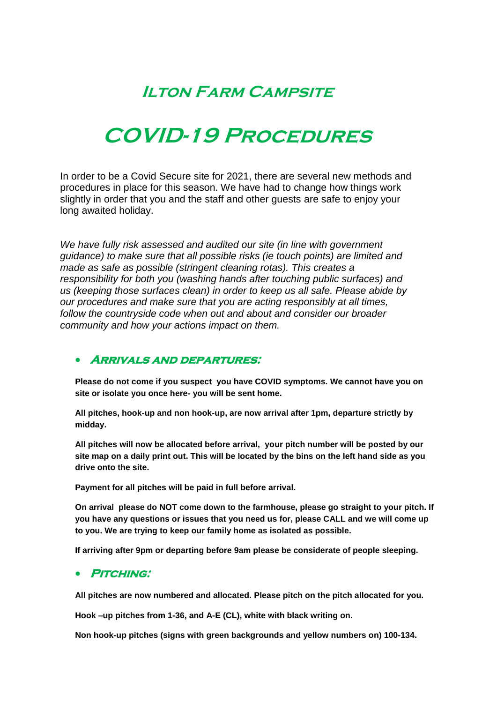### **Ilton Farm Campsite**

## **COVID-19 Procedures**

In order to be a Covid Secure site for 2021, there are several new methods and procedures in place for this season. We have had to change how things work slightly in order that you and the staff and other guests are safe to enjoy your long awaited holiday.

*We have fully risk assessed and audited our site (in line with government guidance) to make sure that all possible risks (ie touch points) are limited and made as safe as possible (stringent cleaning rotas). This creates a responsibility for both you (washing hands after touching public surfaces) and us (keeping those surfaces clean) in order to keep us all safe. Please abide by our procedures and make sure that you are acting responsibly at all times, follow the countryside code when out and about and consider our broader community and how your actions impact on them.* 

#### **Arrivals and departures:**

**Please do not come if you suspect you have COVID symptoms. We cannot have you on site or isolate you once here- you will be sent home.** 

**All pitches, hook-up and non hook-up, are now arrival after 1pm, departure strictly by midday.** 

**All pitches will now be allocated before arrival, your pitch number will be posted by our site map on a daily print out. This will be located by the bins on the left hand side as you drive onto the site.** 

**Payment for all pitches will be paid in full before arrival.**

**On arrival please do NOT come down to the farmhouse, please go straight to your pitch. If you have any questions or issues that you need us for, please CALL and we will come up to you. We are trying to keep our family home as isolated as possible.** 

**If arriving after 9pm or departing before 9am please be considerate of people sleeping.**

#### **Pitching:**

**All pitches are now numbered and allocated. Please pitch on the pitch allocated for you.**

**Hook –up pitches from 1-36, and A-E (CL), white with black writing on.** 

**Non hook-up pitches (signs with green backgrounds and yellow numbers on) 100-134.**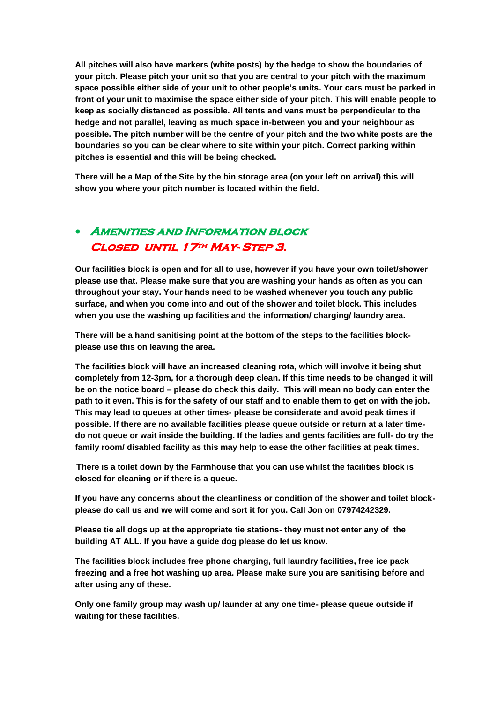**All pitches will also have markers (white posts) by the hedge to show the boundaries of your pitch. Please pitch your unit so that you are central to your pitch with the maximum space possible either side of your unit to other people's units. Your cars must be parked in front of your unit to maximise the space either side of your pitch. This will enable people to keep as socially distanced as possible. All tents and vans must be perpendicular to the hedge and not parallel, leaving as much space in-between you and your neighbour as possible. The pitch number will be the centre of your pitch and the two white posts are the boundaries so you can be clear where to site within your pitch. Correct parking within pitches is essential and this will be being checked.** 

**There will be a Map of the Site by the bin storage area (on your left on arrival) this will show you where your pitch number is located within the field.** 

#### **Amenities and Information block Closed until 17th May- Step 3.**

**Our facilities block is open and for all to use, however if you have your own toilet/shower please use that. Please make sure that you are washing your hands as often as you can throughout your stay. Your hands need to be washed whenever you touch any public surface, and when you come into and out of the shower and toilet block. This includes when you use the washing up facilities and the information/ charging/ laundry area.** 

**There will be a hand sanitising point at the bottom of the steps to the facilities blockplease use this on leaving the area.** 

**The facilities block will have an increased cleaning rota, which will involve it being shut completely from 12-3pm, for a thorough deep clean. If this time needs to be changed it will be on the notice board – please do check this daily. This will mean no body can enter the path to it even. This is for the safety of our staff and to enable them to get on with the job. This may lead to queues at other times- please be considerate and avoid peak times if possible. If there are no available facilities please queue outside or return at a later timedo not queue or wait inside the building. If the ladies and gents facilities are full- do try the family room/ disabled facility as this may help to ease the other facilities at peak times.** 

**There is a toilet down by the Farmhouse that you can use whilst the facilities block is closed for cleaning or if there is a queue.** 

**If you have any concerns about the cleanliness or condition of the shower and toilet blockplease do call us and we will come and sort it for you. Call Jon on 07974242329.** 

**Please tie all dogs up at the appropriate tie stations- they must not enter any of the building AT ALL. If you have a guide dog please do let us know.** 

**The facilities block includes free phone charging, full laundry facilities, free ice pack freezing and a free hot washing up area. Please make sure you are sanitising before and after using any of these.** 

**Only one family group may wash up/ launder at any one time- please queue outside if waiting for these facilities.**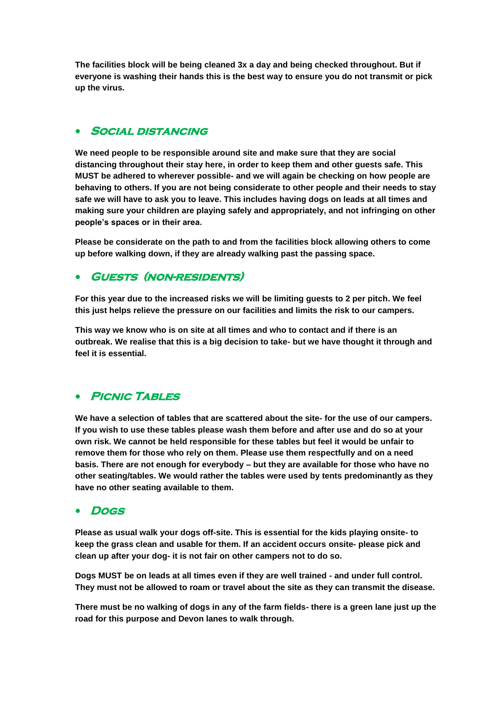**The facilities block will be being cleaned 3x a day and being checked throughout. But if everyone is washing their hands this is the best way to ensure you do not transmit or pick up the virus.** 

#### **Social distancing**

**We need people to be responsible around site and make sure that they are social distancing throughout their stay here, in order to keep them and other guests safe. This MUST be adhered to wherever possible- and we will again be checking on how people are behaving to others. If you are not being considerate to other people and their needs to stay safe we will have to ask you to leave. This includes having dogs on leads at all times and making sure your children are playing safely and appropriately, and not infringing on other people's spaces or in their area.** 

**Please be considerate on the path to and from the facilities block allowing others to come up before walking down, if they are already walking past the passing space.** 

#### **Guests (non-residents)**

**For this year due to the increased risks we will be limiting guests to 2 per pitch. We feel this just helps relieve the pressure on our facilities and limits the risk to our campers.** 

**This way we know who is on site at all times and who to contact and if there is an outbreak. We realise that this is a big decision to take- but we have thought it through and feel it is essential.**

#### **PICNIC TABLES**

**We have a selection of tables that are scattered about the site- for the use of our campers. If you wish to use these tables please wash them before and after use and do so at your own risk. We cannot be held responsible for these tables but feel it would be unfair to remove them for those who rely on them. Please use them respectfully and on a need basis. There are not enough for everybody – but they are available for those who have no other seating/tables. We would rather the tables were used by tents predominantly as they have no other seating available to them.** 

#### **Dogs**

**Please as usual walk your dogs off-site. This is essential for the kids playing onsite- to keep the grass clean and usable for them. If an accident occurs onsite- please pick and clean up after your dog- it is not fair on other campers not to do so.** 

**Dogs MUST be on leads at all times even if they are well trained - and under full control. They must not be allowed to roam or travel about the site as they can transmit the disease.** 

**There must be no walking of dogs in any of the farm fields- there is a green lane just up the road for this purpose and Devon lanes to walk through.**